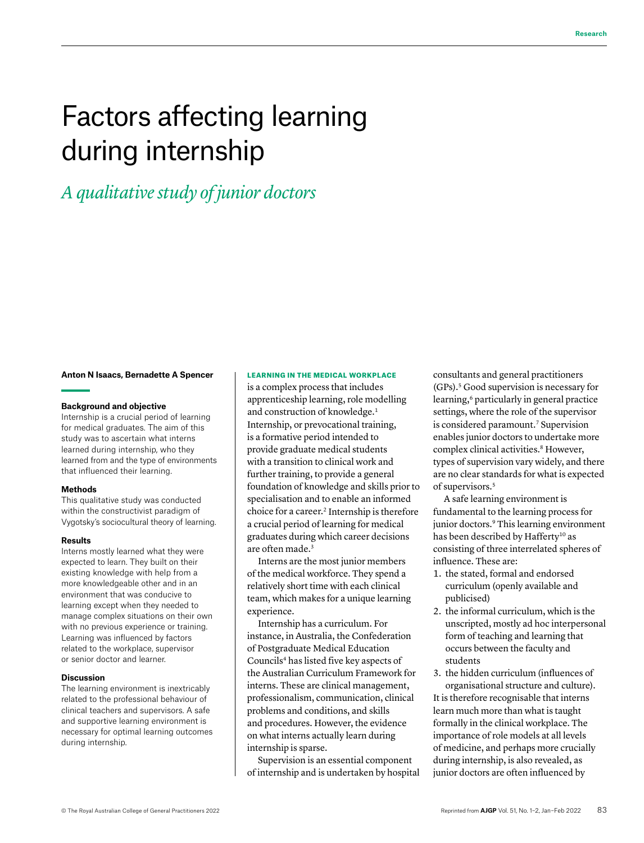# Factors affecting learning during internship

*A qualitative study of junior doctors*

## **Anton N Isaacs, Bernadette A Spencer**

#### **Background and objective**

Internship is a crucial period of learning for medical graduates. The aim of this study was to ascertain what interns learned during internship, who they learned from and the type of environments that influenced their learning.

#### **Methods**

This qualitative study was conducted within the constructivist paradigm of Vygotsky's sociocultural theory of learning.

#### **Results**

Interns mostly learned what they were expected to learn. They built on their existing knowledge with help from a more knowledgeable other and in an environment that was conducive to learning except when they needed to manage complex situations on their own with no previous experience or training. Learning was influenced by factors related to the workplace, supervisor or senior doctor and learner.

#### **Discussion**

The learning environment is inextricably related to the professional behaviour of clinical teachers and supervisors. A safe and supportive learning environment is necessary for optimal learning outcomes during internship.

#### LEARNING IN THE MEDICAL WORKPLACE

is a complex process that includes apprenticeship learning, role modelling and construction of knowledge.<sup>1</sup> Internship, or prevocational training, is a formative period intended to provide graduate medical students with a transition to clinical work and further training, to provide a general foundation of knowledge and skills prior to specialisation and to enable an informed choice for a career.<sup>2</sup> Internship is therefore a crucial period of learning for medical graduates during which career decisions are often made.3

Interns are the most junior members of the medical workforce. They spend a relatively short time with each clinical team, which makes for a unique learning experience.

Internship has a curriculum. For instance, in Australia, the Confederation of Postgraduate Medical Education Councils<sup>4</sup> has listed five key aspects of the Australian Curriculum Framework for interns. These are clinical management, professionalism, communication, clinical problems and conditions, and skills and procedures. However, the evidence on what interns actually learn during internship is sparse.

Supervision is an essential component of internship and is undertaken by hospital consultants and general practitioners (GPs).5 Good supervision is necessary for learning,<sup>6</sup> particularly in general practice settings, where the role of the supervisor is considered paramount.<sup>7</sup> Supervision enables junior doctors to undertake more complex clinical activities.<sup>8</sup> However, types of supervision vary widely, and there are no clear standards for what is expected of supervisors.5

A safe learning environment is fundamental to the learning process for junior doctors.<sup>9</sup> This learning environment has been described by Hafferty<sup>10</sup> as consisting of three interrelated spheres of influence. These are:

- 1. the stated, formal and endorsed curriculum (openly available and publicised)
- 2. the informal curriculum, which is the unscripted, mostly ad hoc interpersonal form of teaching and learning that occurs between the faculty and students

3. the hidden curriculum (influences of organisational structure and culture). It is therefore recognisable that interns learn much more than what is taught formally in the clinical workplace. The importance of role models at all levels of medicine, and perhaps more crucially during internship, is also revealed, as junior doctors are often influenced by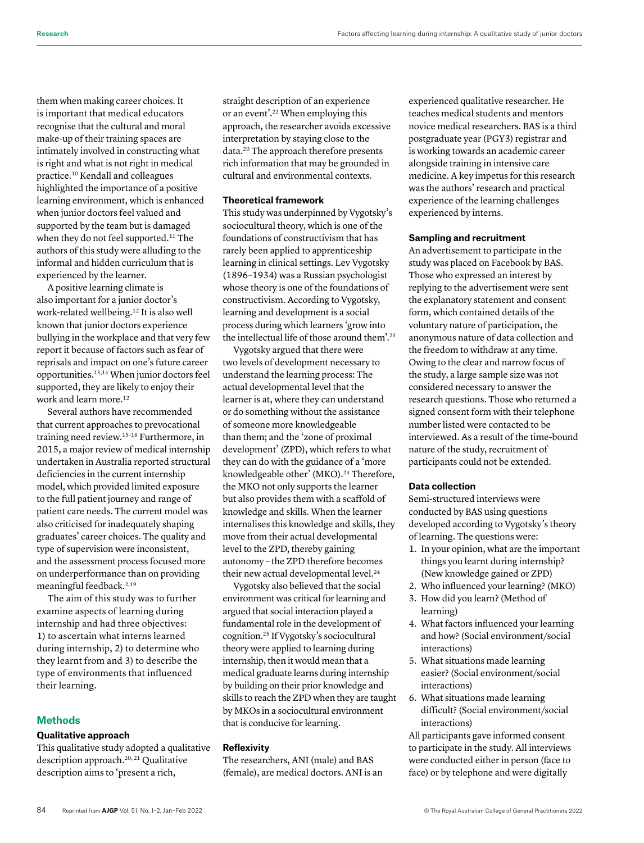them when making career choices. It is important that medical educators recognise that the cultural and moral make-up of their training spaces are intimately involved in constructing what is right and what is not right in medical practice.10 Kendall and colleagues highlighted the importance of a positive learning environment, which is enhanced when junior doctors feel valued and supported by the team but is damaged when they do not feel supported.<sup>11</sup> The authors of this study were alluding to the informal and hidden curriculum that is experienced by the learner.

A positive learning climate is also important for a junior doctor's work-related wellbeing.12 It is also well known that junior doctors experience bullying in the workplace and that very few report it because of factors such as fear of reprisals and impact on one's future career opportunities.13,14 When junior doctors feel supported, they are likely to enjoy their work and learn more.<sup>12</sup>

Several authors have recommended that current approaches to prevocational training need review.15–18 Furthermore, in 2015, a major review of medical internship undertaken in Australia reported structural deficiencies in the current internship model, which provided limited exposure to the full patient journey and range of patient care needs. The current model was also criticised for inadequately shaping graduates' career choices. The quality and type of supervision were inconsistent, and the assessment process focused more on underperformance than on providing meaningful feedback.2,19

The aim of this study was to further examine aspects of learning during internship and had three objectives: 1) to ascertain what interns learned during internship, 2) to determine who they learnt from and 3) to describe the type of environments that influenced their learning.

# **Methods**

# **Qualitative approach**

This qualitative study adopted a qualitative description approach.<sup>20, 21</sup> Qualitative description aims to 'present a rich,

straight description of an experience or an event'.22 When employing this approach, the researcher avoids excessive interpretation by staying close to the data.20 The approach therefore presents rich information that may be grounded in cultural and environmental contexts.

# **Theoretical framework**

This study was underpinned by Vygotsky's sociocultural theory, which is one of the foundations of constructivism that has rarely been applied to apprenticeship learning in clinical settings. Lev Vygotsky (1896–1934) was a Russian psychologist whose theory is one of the foundations of constructivism. According to Vygotsky, learning and development is a social process during which learners 'grow into the intellectual life of those around them'.23

Vygotsky argued that there were two levels of development necessary to understand the learning process: The actual developmental level that the learner is at, where they can understand or do something without the assistance of someone more knowledgeable than them; and the 'zone of proximal development' (ZPD), which refers to what they can do with the guidance of a 'more knowledgeable other' (MKO).<sup>24</sup> Therefore, the MKO not only supports the learner but also provides them with a scaffold of knowledge and skills. When the learner internalises this knowledge and skills, they move from their actual developmental level to the ZPD, thereby gaining autonomy – the ZPD therefore becomes their new actual developmental level.<sup>24</sup>

Vygotsky also believed that the social environment was critical for learning and argued that social interaction played a fundamental role in the development of cognition.25 If Vygotsky's sociocultural theory were applied to learning during internship, then it would mean that a medical graduate learns during internship by building on their prior knowledge and skills to reach the ZPD when they are taught by MKOs in a sociocultural environment that is conducive for learning.

# **Reflexivity**

The researchers, ANI (male) and BAS (female), are medical doctors. ANI is an experienced qualitative researcher. He teaches medical students and mentors novice medical researchers. BAS is a third postgraduate year (PGY3) registrar and is working towards an academic career alongside training in intensive care medicine. A key impetus for this research was the authors' research and practical experience of the learning challenges experienced by interns.

## **Sampling and recruitment**

An advertisement to participate in the study was placed on Facebook by BAS. Those who expressed an interest by replying to the advertisement were sent the explanatory statement and consent form, which contained details of the voluntary nature of participation, the anonymous nature of data collection and the freedom to withdraw at any time. Owing to the clear and narrow focus of the study, a large sample size was not considered necessary to answer the research questions. Those who returned a signed consent form with their telephone number listed were contacted to be interviewed. As a result of the time-bound nature of the study, recruitment of participants could not be extended.

## **Data collection**

Semi-structured interviews were conducted by BAS using questions developed according to Vygotsky's theory of learning. The questions were:

- 1. In your opinion, what are the important things you learnt during internship? (New knowledge gained or ZPD)
- 2. Who influenced your learning? (MKO)
- 3. How did you learn? (Method of learning)
- 4. What factors influenced your learning and how? (Social environment/social interactions)
- 5. What situations made learning easier? (Social environment/social interactions)
- 6. What situations made learning difficult? (Social environment/social interactions)

All participants gave informed consent to participate in the study. All interviews were conducted either in person (face to face) or by telephone and were digitally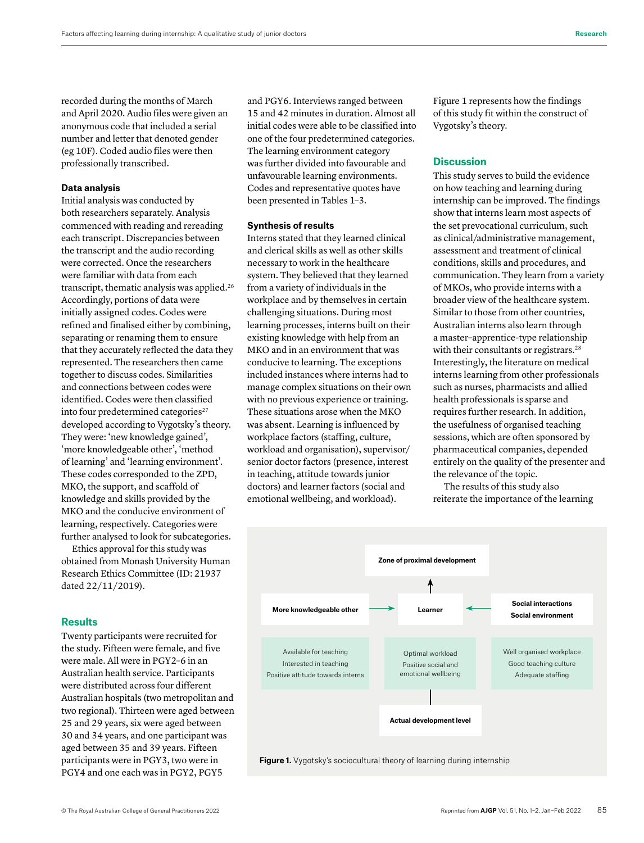recorded during the months of March and April 2020. Audio files were given an anonymous code that included a serial number and letter that denoted gender (eg 10F). Coded audio files were then professionally transcribed.

#### **Data analysis**

Initial analysis was conducted by both researchers separately. Analysis commenced with reading and rereading each transcript. Discrepancies between the transcript and the audio recording were corrected. Once the researchers were familiar with data from each transcript, thematic analysis was applied.26 Accordingly, portions of data were initially assigned codes. Codes were refined and finalised either by combining, separating or renaming them to ensure that they accurately reflected the data they represented. The researchers then came together to discuss codes. Similarities and connections between codes were identified. Codes were then classified into four predetermined categories<sup>27</sup> developed according to Vygotsky's theory. They were: 'new knowledge gained', 'more knowledgeable other', 'method of learning' and 'learning environment'. These codes corresponded to the ZPD, MKO, the support, and scaffold of knowledge and skills provided by the MKO and the conducive environment of learning, respectively. Categories were further analysed to look for subcategories.

Ethics approval for this study was obtained from Monash University Human Research Ethics Committee (ID: 21937 dated 22/11/2019).

## **Results**

Twenty participants were recruited for the study. Fifteen were female, and five were male. All were in PGY2–6 in an Australian health service. Participants were distributed across four different Australian hospitals (two metropolitan and two regional). Thirteen were aged between 25 and 29 years, six were aged between 30 and 34 years, and one participant was aged between 35 and 39 years. Fifteen participants were in PGY3, two were in PGY4 and one each was in PGY2, PGY5

and PGY6. Interviews ranged between 15 and 42 minutes in duration. Almost all initial codes were able to be classified into one of the four predetermined categories. The learning environment category was further divided into favourable and unfavourable learning environments. Codes and representative quotes have been presented in Tables 1–3.

#### **Synthesis of results**

Interns stated that they learned clinical and clerical skills as well as other skills necessary to work in the healthcare system. They believed that they learned from a variety of individuals in the workplace and by themselves in certain challenging situations. During most learning processes, interns built on their existing knowledge with help from an MKO and in an environment that was conducive to learning. The exceptions included instances where interns had to manage complex situations on their own with no previous experience or training. These situations arose when the MKO was absent. Learning is influenced by workplace factors (staffing, culture, workload and organisation), supervisor/ senior doctor factors (presence, interest in teaching, attitude towards junior doctors) and learner factors (social and emotional wellbeing, and workload).

Figure 1 represents how the findings of this study fit within the construct of Vygotsky's theory.

## **Discussion**

This study serves to build the evidence on how teaching and learning during internship can be improved. The findings show that interns learn most aspects of the set prevocational curriculum, such as clinical/administrative management, assessment and treatment of clinical conditions, skills and procedures, and communication. They learn from a variety of MKOs, who provide interns with a broader view of the healthcare system. Similar to those from other countries, Australian interns also learn through a master–apprentice-type relationship with their consultants or registrars.<sup>28</sup> Interestingly, the literature on medical interns learning from other professionals such as nurses, pharmacists and allied health professionals is sparse and requires further research. In addition, the usefulness of organised teaching sessions, which are often sponsored by pharmaceutical companies, depended entirely on the quality of the presenter and the relevance of the topic.

The results of this study also reiterate the importance of the learning



**Figure 1.** Vygotsky's sociocultural theory of learning during internship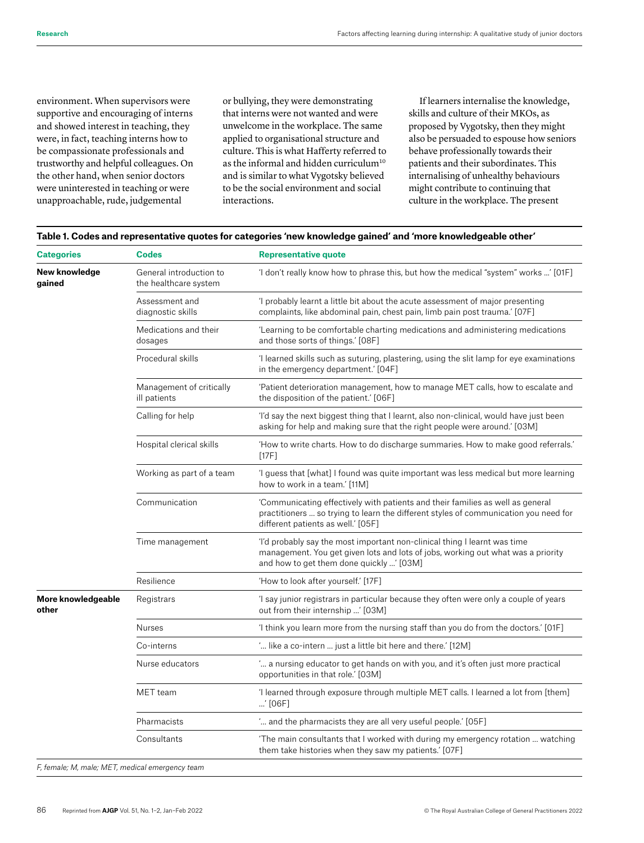environment. When supervisors were supportive and encouraging of interns and showed interest in teaching, they were, in fact, teaching interns how to be compassionate professionals and trustworthy and helpful colleagues. On the other hand, when senior doctors were uninterested in teaching or were unapproachable, rude, judgemental

or bullying, they were demonstrating that interns were not wanted and were unwelcome in the workplace. The same applied to organisational structure and culture. This is what Hafferty referred to as the informal and hidden curriculum<sup>10</sup> and is similar to what Vygotsky believed to be the social environment and social interactions.

If learners internalise the knowledge, skills and culture of their MKOs, as proposed by Vygotsky, then they might also be persuaded to espouse how seniors behave professionally towards their patients and their subordinates. This internalising of unhealthy behaviours might contribute to continuing that culture in the workplace. The present

## **Table 1. Codes and representative quotes for categories 'new knowledge gained' and 'more knowledgeable other'**

| <b>Categories</b>                               | Codes                                            | <b>Representative quote</b>                                                                                                                                                                                  |
|-------------------------------------------------|--------------------------------------------------|--------------------------------------------------------------------------------------------------------------------------------------------------------------------------------------------------------------|
| New knowledge<br>gained                         | General introduction to<br>the healthcare system | 'I don't really know how to phrase this, but how the medical "system" works ' [01F]                                                                                                                          |
|                                                 | Assessment and<br>diagnostic skills              | 'I probably learnt a little bit about the acute assessment of major presenting<br>complaints, like abdominal pain, chest pain, limb pain post trauma.' [07F]                                                 |
|                                                 | Medications and their<br>dosages                 | 'Learning to be comfortable charting medications and administering medications<br>and those sorts of things.' [08F]                                                                                          |
|                                                 | Procedural skills                                | I learned skills such as suturing, plastering, using the slit lamp for eye examinations<br>in the emergency department.' [04F]                                                                               |
|                                                 | Management of critically<br>ill patients         | 'Patient deterioration management, how to manage MET calls, how to escalate and<br>the disposition of the patient.' [06F]                                                                                    |
|                                                 | Calling for help                                 | 'I'd say the next biggest thing that I learnt, also non-clinical, would have just been<br>asking for help and making sure that the right people were around. [03M]                                           |
|                                                 | Hospital clerical skills                         | 'How to write charts. How to do discharge summaries. How to make good referrals.'<br>[17F]                                                                                                                   |
|                                                 | Working as part of a team                        | 'I guess that [what] I found was quite important was less medical but more learning<br>how to work in a team.' [11M]                                                                                         |
|                                                 | Communication                                    | 'Communicating effectively with patients and their families as well as general<br>practitioners  so trying to learn the different styles of communication you need for<br>different patients as well.' [05F] |
|                                                 | Time management                                  | 'I'd probably say the most important non-clinical thing I learnt was time<br>management. You get given lots and lots of jobs, working out what was a priority<br>and how to get them done quickly ' [03M]    |
|                                                 | Resilience                                       | 'How to look after yourself.' [17F]                                                                                                                                                                          |
| More knowledgeable<br>other                     | Registrars                                       | 'I say junior registrars in particular because they often were only a couple of years<br>out from their internship ' [03M]                                                                                   |
|                                                 | Nurses                                           | 'I think you learn more from the nursing staff than you do from the doctors.' [01F]                                                                                                                          |
|                                                 | Co-interns                                       | " like a co-intern  just a little bit here and there.' [12M]                                                                                                                                                 |
|                                                 | Nurse educators                                  | " a nursing educator to get hands on with you, and it's often just more practical<br>opportunities in that role.' [03M]                                                                                      |
|                                                 | MET team                                         | 'I learned through exposure through multiple MET calls. I learned a lot from [them]<br>$'$ [06F]                                                                                                             |
|                                                 | Pharmacists                                      | " and the pharmacists they are all very useful people.' [05F]                                                                                                                                                |
|                                                 | Consultants                                      | 'The main consultants that I worked with during my emergency rotation  watching<br>them take histories when they saw my patients.' [07F]                                                                     |
| F, female; M, male; MET, medical emergency team |                                                  |                                                                                                                                                                                                              |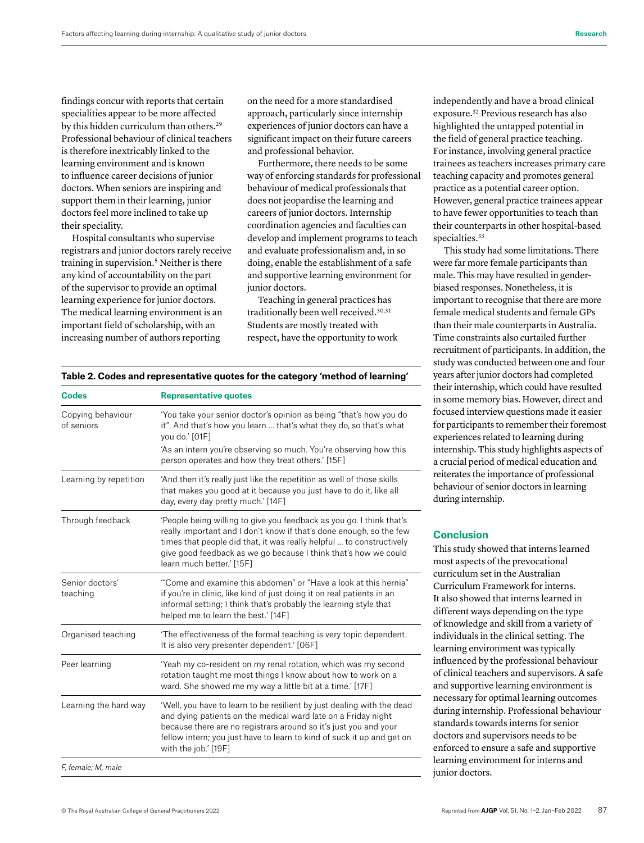findings concur with reports that certain specialities appear to be more affected by this hidden curriculum than others.<sup>29</sup> Professional behaviour of clinical teachers is therefore inextricably linked to the learning environment and is known to influence career decisions of junior doctors. When seniors are inspiring and support them in their learning, junior doctors feel more inclined to take up their speciality.

Hospital consultants who supervise registrars and junior doctors rarely receive training in supervision.<sup>5</sup> Neither is there any kind of accountability on the part of the supervisor to provide an optimal learning experience for junior doctors. The medical learning environment is an important field of scholarship, with an increasing number of authors reporting

**Codes Representative quotes**

on the need for a more standardised approach, particularly since internship experiences of junior doctors can have a significant impact on their future careers and professional behavior.

Furthermore, there needs to be some way of enforcing standards for professional behaviour of medical professionals that does not jeopardise the learning and careers of junior doctors. Internship coordination agencies and faculties can develop and implement programs to teach and evaluate professionalism and, in so doing, enable the establishment of a safe and supportive learning environment for junior doctors.

Teaching in general practices has traditionally been well received.30,31 Students are mostly treated with respect, have the opportunity to work independently and have a broad clinical exposure.32 Previous research has also highlighted the untapped potential in the field of general practice teaching. For instance, involving general practice trainees as teachers increases primary care teaching capacity and promotes general practice as a potential career option. However, general practice trainees appear to have fewer opportunities to teach than their counterparts in other hospital-based specialties.<sup>33</sup>

This study had some limitations. There were far more female participants than male. This may have resulted in genderbiased responses. Nonetheless, it is important to recognise that there are more female medical students and female GPs than their male counterparts in Australia. Time constraints also curtailed further recruitment of participants. In addition, the study was conducted between one and four years after junior doctors had completed their internship, which could have resulted in some memory bias. However, direct and focused interview questions made it easier for participants to remember their foremost experiences related to learning during internship. This study highlights aspects of a crucial period of medical education and reiterates the importance of professional behaviour of senior doctors in learning during internship.

# **Conclusion**

This study showed that interns learned most aspects of the prevocational curriculum set in the Australian Curriculum Framework for interns. It also showed that interns learned in different ways depending on the type of knowledge and skill from a variety of individuals in the clinical setting. The learning environment was typically influenced by the professional behaviour of clinical teachers and supervisors. A safe and supportive learning environment is necessary for optimal learning outcomes during internship. Professional behaviour standards towards interns for senior doctors and supervisors needs to be enforced to ensure a safe and supportive learning environment for interns and junior doctors.

# **Table 2. Codes and representative quotes for the category 'method of learning'**

| Copying behaviour<br>of seniors | 'You take your senior doctor's opinion as being "that's how you do<br>it". And that's how you learn  that's what they do, so that's what<br>you do.' [01F]<br>'As an intern you're observing so much. You're observing how this<br>person operates and how they treat others.' [15F]                                |
|---------------------------------|---------------------------------------------------------------------------------------------------------------------------------------------------------------------------------------------------------------------------------------------------------------------------------------------------------------------|
| Learning by repetition          | 'And then it's really just like the repetition as well of those skills<br>that makes you good at it because you just have to do it, like all<br>day, every day pretty much.' [14F]                                                                                                                                  |
| Through feedback                | 'People being willing to give you feedback as you go. I think that's<br>really important and I don't know if that's done enough, so the few<br>times that people did that, it was really helpful  to constructively<br>give good feedback as we go because I think that's how we could<br>learn much better.' [15F] |
| Senior doctors'<br>teaching     | "Come and examine this abdomen" or "Have a look at this hernia"<br>if you're in clinic, like kind of just doing it on real patients in an<br>informal setting; I think that's probably the learning style that<br>helped me to learn the best.' [14F]                                                               |
| Organised teaching              | The effectiveness of the formal teaching is very topic dependent.<br>It is also very presenter dependent.' [06F]                                                                                                                                                                                                    |
| Peer learning                   | 'Yeah my co-resident on my renal rotation, which was my second<br>rotation taught me most things I know about how to work on a<br>ward. She showed me my way a little bit at a time.' [17F]                                                                                                                         |
| Learning the hard way           | 'Well, you have to learn to be resilient by just dealing with the dead<br>and dying patients on the medical ward late on a Friday night<br>because there are no registrars around so it's just you and your<br>fellow intern; you just have to learn to kind of suck it up and get on<br>with the job.' [19F]       |
| F, female; M, male              |                                                                                                                                                                                                                                                                                                                     |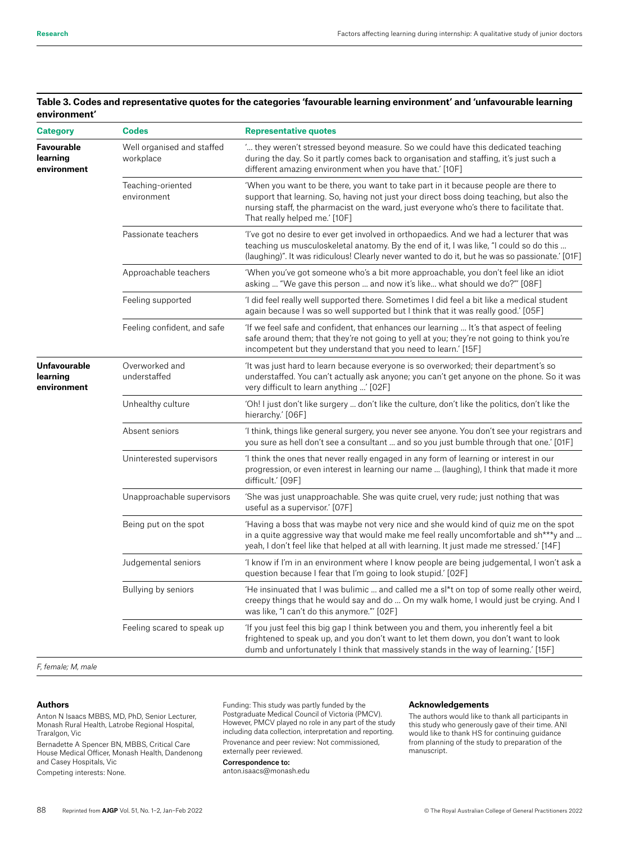| <b>Category</b>                         | <b>Codes</b>                            | <b>Representative quotes</b>                                                                                                                                                                                                                                                                                 |
|-----------------------------------------|-----------------------------------------|--------------------------------------------------------------------------------------------------------------------------------------------------------------------------------------------------------------------------------------------------------------------------------------------------------------|
| Favourable<br>learning<br>environment   | Well organised and staffed<br>workplace | they weren't stressed beyond measure. So we could have this dedicated teaching<br>during the day. So it partly comes back to organisation and staffing, it's just such a<br>different amazing environment when you have that.' [10F]                                                                         |
|                                         | Teaching-oriented<br>environment        | 'When you want to be there, you want to take part in it because people are there to<br>support that learning. So, having not just your direct boss doing teaching, but also the<br>nursing staff, the pharmacist on the ward, just everyone who's there to facilitate that.<br>That really helped me.' [10F] |
|                                         | Passionate teachers                     | 'I've got no desire to ever get involved in orthopaedics. And we had a lecturer that was<br>teaching us musculoskeletal anatomy. By the end of it, I was like, "I could so do this<br>(laughing)". It was ridiculous! Clearly never wanted to do it, but he was so passionate.' [01F]                        |
|                                         | Approachable teachers                   | 'When you've got someone who's a bit more approachable, you don't feel like an idiot<br>asking  "We gave this person  and now it's like what should we do?"' [08F]                                                                                                                                           |
|                                         | Feeling supported                       | I did feel really well supported there. Sometimes I did feel a bit like a medical student<br>again because I was so well supported but I think that it was really good.' [05F]                                                                                                                               |
|                                         | Feeling confident, and safe             | 'If we feel safe and confident, that enhances our learning  It's that aspect of feeling<br>safe around them; that they're not going to yell at you; they're not going to think you're<br>incompetent but they understand that you need to learn.' [15F]                                                      |
| Unfavourable<br>learning<br>environment | Overworked and<br>understaffed          | It was just hard to learn because everyone is so overworked; their department's so<br>understaffed. You can't actually ask anyone; you can't get anyone on the phone. So it was<br>very difficult to learn anything ' [02F]                                                                                  |
|                                         | Unhealthy culture                       | 'Oh! I just don't like surgery  don't like the culture, don't like the politics, don't like the<br>hierarchy.' [06F]                                                                                                                                                                                         |
|                                         | Absent seniors                          | I think, things like general surgery, you never see anyone. You don't see your registrars and<br>you sure as hell don't see a consultant  and so you just bumble through that one.' [01F]                                                                                                                    |
|                                         | Uninterested supervisors                | I think the ones that never really engaged in any form of learning or interest in our<br>progression, or even interest in learning our name  (laughing), I think that made it more<br>difficult.' [09F]                                                                                                      |
|                                         | Unapproachable supervisors              | 'She was just unapproachable. She was quite cruel, very rude; just nothing that was<br>useful as a supervisor.' [07F]                                                                                                                                                                                        |
|                                         | Being put on the spot                   | 'Having a boss that was maybe not very nice and she would kind of quiz me on the spot<br>in a quite aggressive way that would make me feel really uncomfortable and sh***y and<br>yeah, I don't feel like that helped at all with learning. It just made me stressed.' [14F]                                 |
|                                         | Judgemental seniors                     | 'I know if I'm in an environment where I know people are being judgemental, I won't ask a<br>question because I fear that I'm going to look stupid.' [02F]                                                                                                                                                   |
|                                         | Bullying by seniors                     | 'He insinuated that I was bulimic  and called me a sl*t on top of some really other weird,<br>creepy things that he would say and do  On my walk home, I would just be crying. And I<br>was like, "I can't do this anymore."' [02F]                                                                          |
|                                         | Feeling scared to speak up              | 'If you just feel this big gap I think between you and them, you inherently feel a bit<br>frightened to speak up, and you don't want to let them down, you don't want to look<br>dumb and unfortunately I think that massively stands in the way of learning.' [15F]                                         |
| $F$ famolog $M$ mode                    |                                         |                                                                                                                                                                                                                                                                                                              |

# **Table 3. Codes and representative quotes for the categories 'favourable learning environment' and 'unfavourable learning environment'**

*F, female; M, male* 

#### **Authors**

Anton N Isaacs MBBS, MD, PhD, Senior Lecturer, Monash Rural Health, Latrobe Regional Hospital, Traralgon, Vic

Bernadette A Spencer BN, MBBS, Critical Care House Medical Officer, Monash Health, Dandenong and Casey Hospitals, Vic

Competing interests: None.

Funding: This study was partly funded by the Postgraduate Medical Council of Victoria (PMCV). However, PMCV played no role in any part of the study including data collection, interpretation and reporting. Provenance and peer review: Not commissioned, externally peer reviewed.

#### Correspondence to:

anton.isaacs@monash.edu

### **Acknowledgements**

The authors would like to thank all participants in this study who generously gave of their time. ANI would like to thank HS for continuing guidance from planning of the study to preparation of the manuscript.